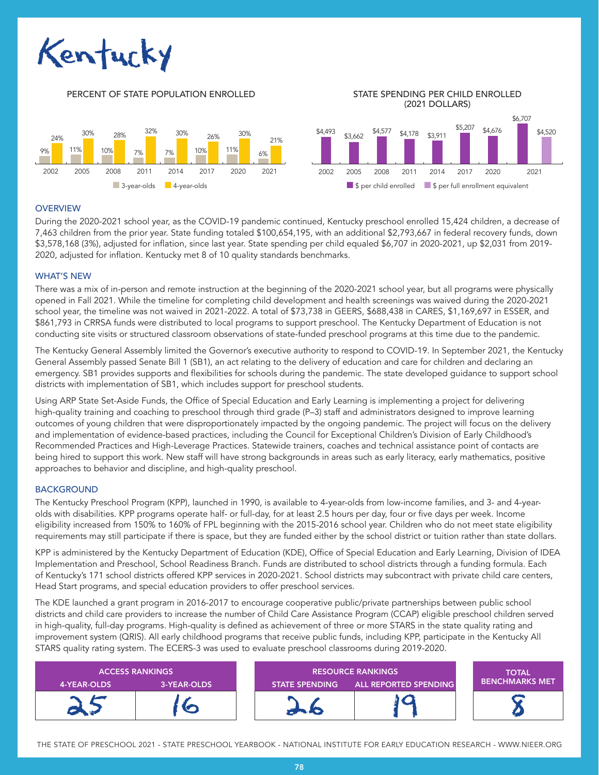

10%

#### PERCENT OF STATE POPULATION ENROLLED STATE SPENDING PER CHILD ENROLLED 30% 30% 32% 28% 30%

26% 10%

7%

7%

11%



(2021 DOLLARS)

## **OVERVIEW**

24% O<sub>2</sub>

11%

During the 2020-2021 school year, as the COVID-19 pandemic continued, Kentucky preschool enrolled 15,424 children, a decrease of 7,463 children from the prior year. State funding totaled \$100,654,195, with an additional \$2,793,667 in federal recovery funds, down \$3,578,168 (3%), adjusted for inflation, since last year. State spending per child equaled \$6,707 in 2020-2021, up \$2,031 from 2019- 2020, adjusted for inflation. Kentucky met 8 of 10 quality standards benchmarks.

21%

6%

## WHAT'S NEW

There was a mix of in-person and remote instruction at the beginning of the 2020-2021 school year, but all programs were physically opened in Fall 2021. While the timeline for completing child development and health screenings was waived during the 2020-2021 school year, the timeline was not waived in 2021-2022. A total of \$73,738 in GEERS, \$688,438 in CARES, \$1,169,697 in ESSER, and \$861,793 in CRRSA funds were distributed to local programs to support preschool. The Kentucky Department of Education is not conducting site visits or structured classroom observations of state-funded preschool programs at this time due to the pandemic.

The Kentucky General Assembly limited the Governor's executive authority to respond to COVID-19. In September 2021, the Kentucky General Assembly passed Senate Bill 1 (SB1), an act relating to the delivery of education and care for children and declaring an emergency. SB1 provides supports and flexibilities for schools during the pandemic. The state developed guidance to support school districts with implementation of SB1, which includes support for preschool students.

Using ARP State Set-Aside Funds, the Office of Special Education and Early Learning is implementing a project for delivering high-quality training and coaching to preschool through third grade (P–3) staff and administrators designed to improve learning outcomes of young children that were disproportionately impacted by the ongoing pandemic. The project will focus on the delivery and implementation of evidence-based practices, including the Council for Exceptional Children's Division of Early Childhood's Recommended Practices and High-Leverage Practices. Statewide trainers, coaches and technical assistance point of contacts are being hired to support this work. New staff will have strong backgrounds in areas such as early literacy, early mathematics, positive approaches to behavior and discipline, and high-quality preschool.

### BACKGROUND

The Kentucky Preschool Program (KPP), launched in 1990, is available to 4-year-olds from low-income families, and 3- and 4-yearolds with disabilities. KPP programs operate half- or full-day, for at least 2.5 hours per day, four or five days per week. Income eligibility increased from 150% to 160% of FPL beginning with the 2015-2016 school year. Children who do not meet state eligibility requirements may still participate if there is space, but they are funded either by the school district or tuition rather than state dollars.

KPP is administered by the Kentucky Department of Education (KDE), Office of Special Education and Early Learning, Division of IDEA Implementation and Preschool, School Readiness Branch. Funds are distributed to school districts through a funding formula. Each of Kentucky's 171 school districts offered KPP services in 2020-2021. School districts may subcontract with private child care centers, Head Start programs, and special education providers to offer preschool services.

The KDE launched a grant program in 2016-2017 to encourage cooperative public/private partnerships between public school districts and child care providers to increase the number of Child Care Assistance Program (CCAP) eligible preschool children served in high-quality, full-day programs. High-quality is defined as achievement of three or more STARS in the state quality rating and improvement system (QRIS). All early childhood programs that receive public funds, including KPP, participate in the Kentucky All STARS quality rating system. The ECERS-3 was used to evaluate preschool classrooms during 2019-2020.

| <b>ACCESS RANKINGS</b> |             | <b>RESOURCE RANKINGS</b> |                              | <b>TOTAL</b>          |
|------------------------|-------------|--------------------------|------------------------------|-----------------------|
| 4-YEAR-OLDS            | 3-YEAR-OLDS | <b>STATE SPENDING</b>    | <b>ALL REPORTED SPENDING</b> | <b>BENCHMARKS MET</b> |
|                        |             |                          |                              |                       |

THE STATE OF PRESCHOOL 2021 - STATE PRESCHOOL YEARBOOK - NATIONAL INSTITUTE FOR EARLY EDUCATION RESEARCH - WWW.NIEER.ORG